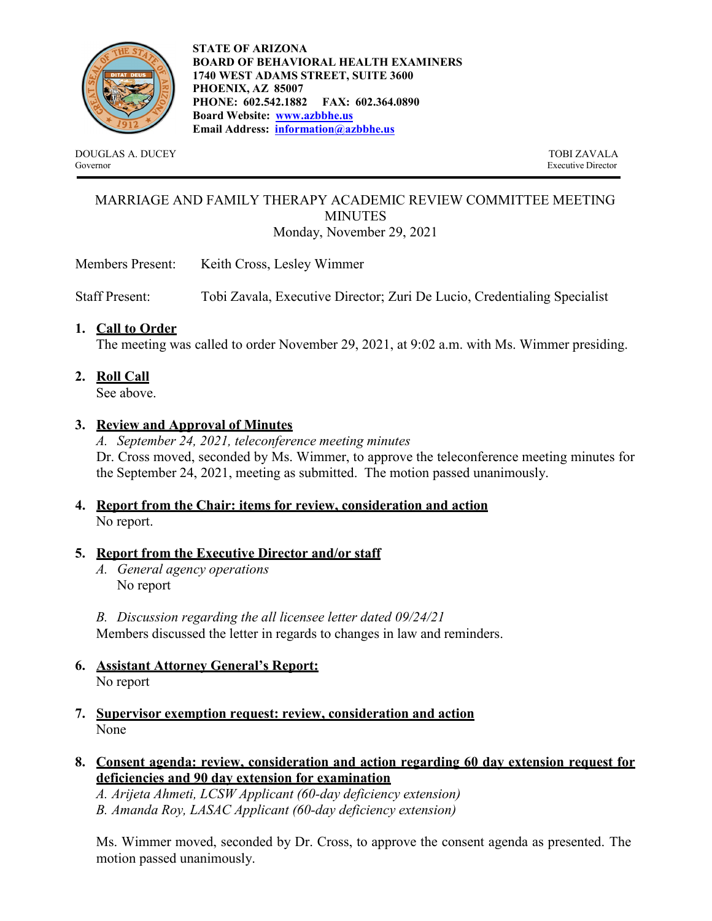

**STATE OF ARIZONA BOARD OF BEHAVIORAL HEALTH EXAMINERS 1740 WEST ADAMS STREET, SUITE 3600 PHOENIX, AZ 85007 PHONE: 602.542.1882 FAX: 602.364.0890 Board Website: [www.azbbhe.us](http://www.azbbhe.us/) Email Address: [information@azbbhe.us](mailto:information@azbbhe.us)**

DOUGLAS A. DUCEY TOBI ZAVALA<br>Governor Executive Director

Executive Director

#### MARRIAGE AND FAMILY THERAPY ACADEMIC REVIEW COMMITTEE MEETING MINUTES Monday, November 29, 2021

Members Present: Keith Cross, Lesley Wimmer

Staff Present: Tobi Zavala, Executive Director; Zuri De Lucio, Credentialing Specialist

## **1. Call to Order**

The meeting was called to order November 29, 2021, at 9:02 a.m. with Ms. Wimmer presiding.

**2. Roll Call**

See above.

## **3. Review and Approval of Minutes**

*A. September 24, 2021, teleconference meeting minutes* Dr. Cross moved, seconded by Ms. Wimmer, to approve the teleconference meeting minutes for the September 24, 2021, meeting as submitted. The motion passed unanimously.

# **4. Report from the Chair: items for review, consideration and action** No report.

### **5. Report from the Executive Director and/or staff**

*A. General agency operations* No report

*B. Discussion regarding the all licensee letter dated 09/24/21* Members discussed the letter in regards to changes in law and reminders.

- **6. Assistant Attorney General's Report:** No report
- **7. Supervisor exemption request: review, consideration and action** None
- **8. Consent agenda: review, consideration and action regarding 60 day extension request for deficiencies and 90 day extension for examination**

*A. Arijeta Ahmeti, LCSW Applicant (60-day deficiency extension) B. Amanda Roy, LASAC Applicant (60-day deficiency extension)*

Ms. Wimmer moved, seconded by Dr. Cross, to approve the consent agenda as presented. The motion passed unanimously.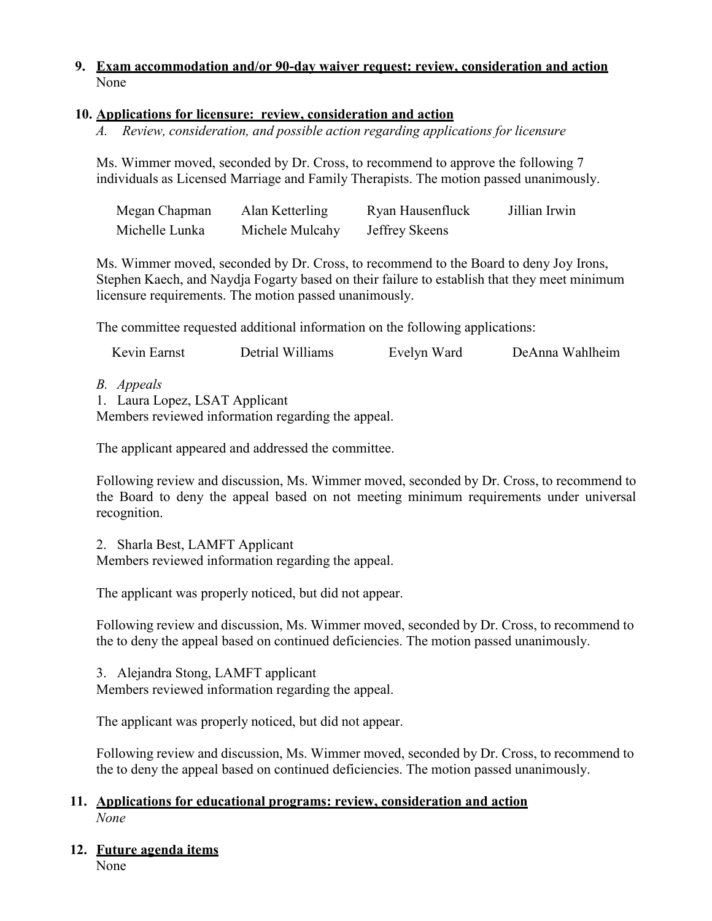#### **9. Exam accommodation and/or 90-day waiver request: review, consideration and action** None

#### **10. Applications for licensure: review, consideration and action**

*A. Review, consideration, and possible action regarding applications for licensure*

Ms. Wimmer moved, seconded by Dr. Cross, to recommend to approve the following 7 individuals as Licensed Marriage and Family Therapists. The motion passed unanimously.

| Megan Chapman  | Alan Ketterling | Ryan Hausenfluck | Jillian Irwin |
|----------------|-----------------|------------------|---------------|
| Michelle Lunka | Michele Mulcahy | Jeffrey Skeens   |               |

Ms. Wimmer moved, seconded by Dr. Cross, to recommend to the Board to deny Joy Irons, Stephen Kaech, and Naydja Fogarty based on their failure to establish that they meet minimum licensure requirements. The motion passed unanimously.

The committee requested additional information on the following applications:

| Kevin Earnst<br>Detrial Williams<br>DeAnna Wahlheim<br>Evelyn Ward |  |
|--------------------------------------------------------------------|--|
|--------------------------------------------------------------------|--|

*B. Appeals*

1. Laura Lopez, LSAT Applicant Members reviewed information regarding the appeal.

The applicant appeared and addressed the committee.

Following review and discussion, Ms. Wimmer moved, seconded by Dr. Cross, to recommend to the Board to deny the appeal based on not meeting minimum requirements under universal recognition.

2. Sharla Best, LAMFT Applicant

Members reviewed information regarding the appeal.

The applicant was properly noticed, but did not appear.

Following review and discussion, Ms. Wimmer moved, seconded by Dr. Cross, to recommend to the to deny the appeal based on continued deficiencies. The motion passed unanimously.

3. Alejandra Stong, LAMFT applicant

Members reviewed information regarding the appeal.

The applicant was properly noticed, but did not appear.

Following review and discussion, Ms. Wimmer moved, seconded by Dr. Cross, to recommend to the to deny the appeal based on continued deficiencies. The motion passed unanimously.

#### **11. Applications for educational programs: review, consideration and action** *None*

### **12. Future agenda items**

None